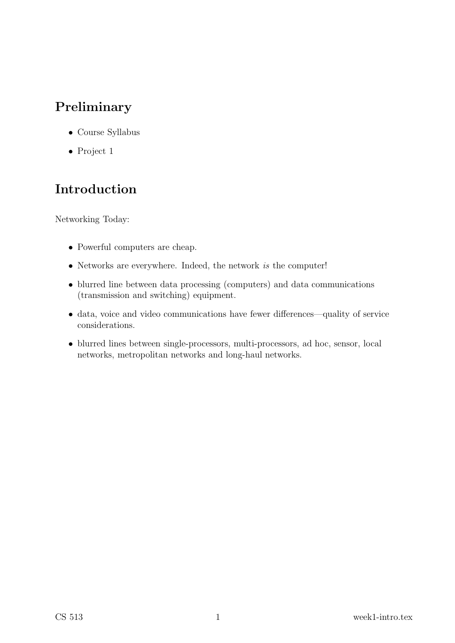# Preliminary

- Course Syllabus
- Project 1

# Introduction

Networking Today:

- Powerful computers are cheap.
- Networks are everywhere. Indeed, the network is the computer!
- blurred line between data processing (computers) and data communications (transmission and switching) equipment.
- data, voice and video communications have fewer differences—quality of service considerations.
- blurred lines between single-processors, multi-processors, ad hoc, sensor, local networks, metropolitan networks and long-haul networks.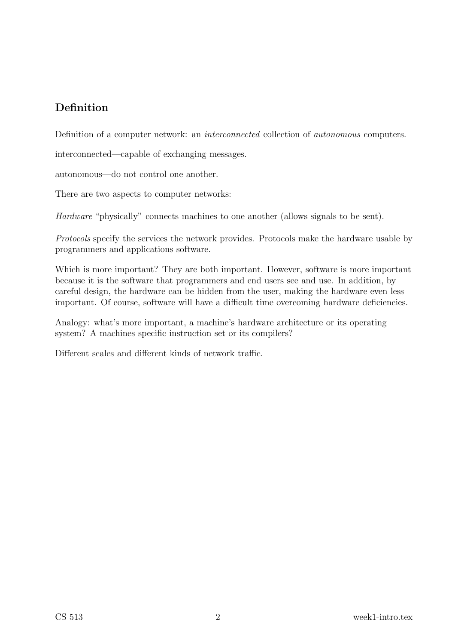### Definition

Definition of a computer network: an interconnected collection of autonomous computers.

interconnected—capable of exchanging messages.

autonomous—do not control one another.

There are two aspects to computer networks:

Hardware "physically" connects machines to one another (allows signals to be sent).

Protocols specify the services the network provides. Protocols make the hardware usable by programmers and applications software.

Which is more important? They are both important. However, software is more important because it is the software that programmers and end users see and use. In addition, by careful design, the hardware can be hidden from the user, making the hardware even less important. Of course, software will have a difficult time overcoming hardware deficiencies.

Analogy: what's more important, a machine's hardware architecture or its operating system? A machines specific instruction set or its compilers?

Different scales and different kinds of network traffic.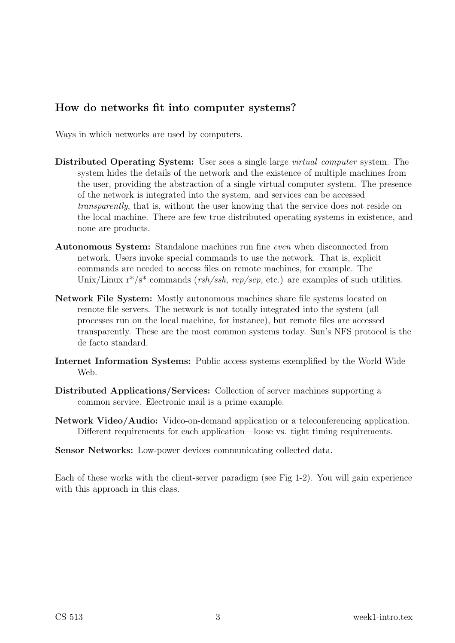### How do networks fit into computer systems?

Ways in which networks are used by computers.

- Distributed Operating System: User sees a single large virtual computer system. The system hides the details of the network and the existence of multiple machines from the user, providing the abstraction of a single virtual computer system. The presence of the network is integrated into the system, and services can be accessed transparently, that is, without the user knowing that the service does not reside on the local machine. There are few true distributed operating systems in existence, and none are products.
- Autonomous System: Standalone machines run fine even when disconnected from network. Users invoke special commands to use the network. That is, explicit commands are needed to access files on remote machines, for example. The Unix/Linux  $r^*/s^*$  commands (*rsh/ssh, rcp/scp,* etc.) are examples of such utilities.
- Network File System: Mostly autonomous machines share file systems located on remote file servers. The network is not totally integrated into the system (all processes run on the local machine, for instance), but remote files are accessed transparently. These are the most common systems today. Sun's NFS protocol is the de facto standard.
- Internet Information Systems: Public access systems exemplified by the World Wide Web.
- Distributed Applications/Services: Collection of server machines supporting a common service. Electronic mail is a prime example.
- Network Video/Audio: Video-on-demand application or a teleconferencing application. Different requirements for each application—loose vs. tight timing requirements.
- Sensor Networks: Low-power devices communicating collected data.

Each of these works with the client-server paradigm (see Fig 1-2). You will gain experience with this approach in this class.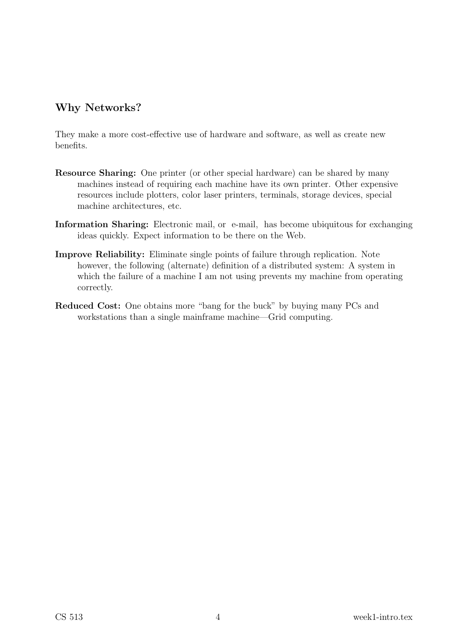### Why Networks?

They make a more cost-effective use of hardware and software, as well as create new benefits.

- Resource Sharing: One printer (or other special hardware) can be shared by many machines instead of requiring each machine have its own printer. Other expensive resources include plotters, color laser printers, terminals, storage devices, special machine architectures, etc.
- Information Sharing: Electronic mail, or e-mail, has become ubiquitous for exchanging ideas quickly. Expect information to be there on the Web.
- Improve Reliability: Eliminate single points of failure through replication. Note however, the following (alternate) definition of a distributed system: A system in which the failure of a machine I am not using prevents my machine from operating correctly.
- Reduced Cost: One obtains more "bang for the buck" by buying many PCs and workstations than a single mainframe machine—Grid computing.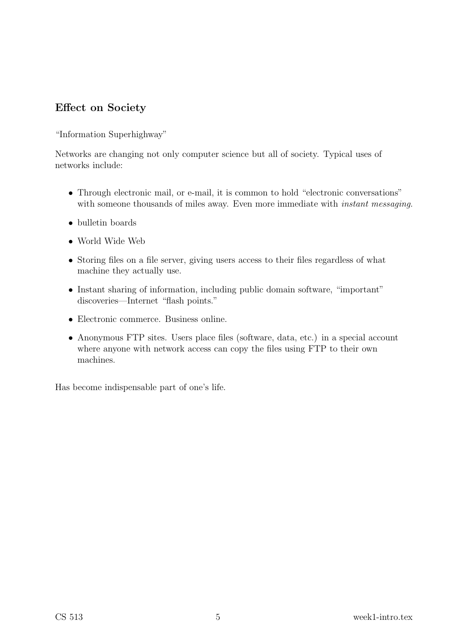### Effect on Society

"Information Superhighway"

Networks are changing not only computer science but all of society. Typical uses of networks include:

- Through electronic mail, or e-mail, it is common to hold "electronic conversations" with someone thousands of miles away. Even more immediate with *instant messaging*.
- bulletin boards
- World Wide Web
- Storing files on a file server, giving users access to their files regardless of what machine they actually use.
- Instant sharing of information, including public domain software, "important" discoveries—Internet "flash points."
- Electronic commerce. Business online.
- Anonymous FTP sites. Users place files (software, data, etc.) in a special account where anyone with network access can copy the files using FTP to their own machines.

Has become indispensable part of one's life.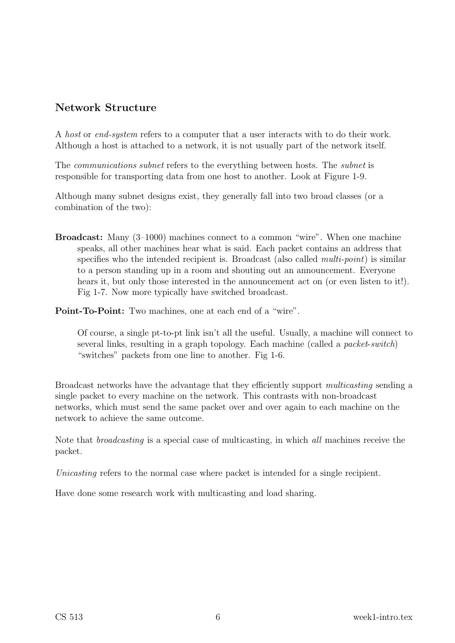### Network Structure

A host or end-system refers to a computer that a user interacts with to do their work. Although a host is attached to a network, it is not usually part of the network itself.

The communications subnet refers to the everything between hosts. The subnet is responsible for transporting data from one host to another. Look at Figure 1-9.

Although many subnet designs exist, they generally fall into two broad classes (or a combination of the two):

Broadcast: Many (3–1000) machines connect to a common "wire". When one machine speaks, all other machines hear what is said. Each packet contains an address that specifies who the intended recipient is. Broadcast (also called *multi-point*) is similar to a person standing up in a room and shouting out an announcement. Everyone hears it, but only those interested in the announcement act on (or even listen to it!). Fig 1-7. Now more typically have switched broadcast.

Point-To-Point: Two machines, one at each end of a "wire".

Of course, a single pt-to-pt link isn't all the useful. Usually, a machine will connect to several links, resulting in a graph topology. Each machine (called a *packet-switch*) "switches" packets from one line to another. Fig 1-6.

Broadcast networks have the advantage that they efficiently support multicasting sending a single packet to every machine on the network. This contrasts with non-broadcast networks, which must send the same packet over and over again to each machine on the network to achieve the same outcome.

Note that broadcasting is a special case of multicasting, in which all machines receive the packet.

Unicasting refers to the normal case where packet is intended for a single recipient.

Have done some research work with multicasting and load sharing.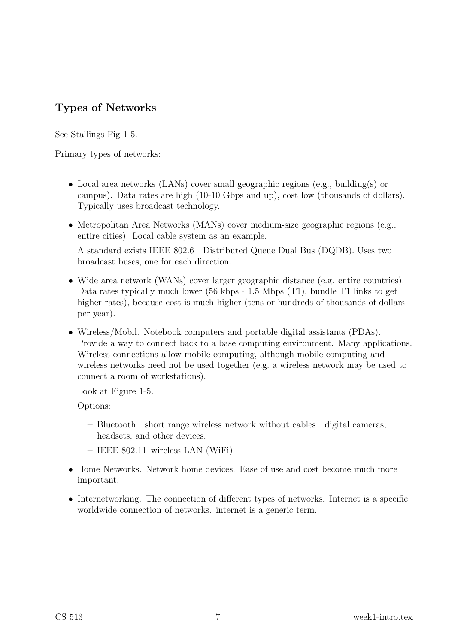### Types of Networks

See Stallings Fig 1-5.

Primary types of networks:

- Local area networks (LANs) cover small geographic regions (e.g., building(s) or campus). Data rates are high (10-10 Gbps and up), cost low (thousands of dollars). Typically uses broadcast technology.
- Metropolitan Area Networks (MANs) cover medium-size geographic regions (e.g., entire cities). Local cable system as an example.

A standard exists IEEE 802.6—Distributed Queue Dual Bus (DQDB). Uses two broadcast buses, one for each direction.

- Wide area network (WANs) cover larger geographic distance (e.g. entire countries). Data rates typically much lower (56 kbps - 1.5 Mbps (T1), bundle T1 links to get higher rates), because cost is much higher (tens or hundreds of thousands of dollars per year).
- Wireless/Mobil. Notebook computers and portable digital assistants (PDAs). Provide a way to connect back to a base computing environment. Many applications. Wireless connections allow mobile computing, although mobile computing and wireless networks need not be used together (e.g. a wireless network may be used to connect a room of workstations).

Look at Figure 1-5.

Options:

- Bluetooth—short range wireless network without cables—digital cameras, headsets, and other devices.
- IEEE 802.11–wireless LAN (WiFi)
- Home Networks. Network home devices. Ease of use and cost become much more important.
- Internetworking. The connection of different types of networks. Internet is a specific worldwide connection of networks. internet is a generic term.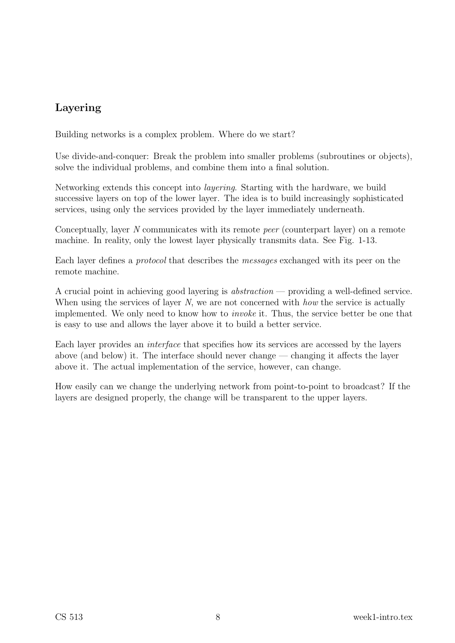## Layering

Building networks is a complex problem. Where do we start?

Use divide-and-conquer: Break the problem into smaller problems (subroutines or objects), solve the individual problems, and combine them into a final solution.

Networking extends this concept into layering. Starting with the hardware, we build successive layers on top of the lower layer. The idea is to build increasingly sophisticated services, using only the services provided by the layer immediately underneath.

Conceptually, layer N communicates with its remote peer (counterpart layer) on a remote machine. In reality, only the lowest layer physically transmits data. See Fig. 1-13.

Each layer defines a protocol that describes the messages exchanged with its peer on the remote machine.

A crucial point in achieving good layering is abstraction — providing a well-defined service. When using the services of layer N, we are not concerned with how the service is actually implemented. We only need to know how to invoke it. Thus, the service better be one that is easy to use and allows the layer above it to build a better service.

Each layer provides an interface that specifies how its services are accessed by the layers above (and below) it. The interface should never change — changing it affects the layer above it. The actual implementation of the service, however, can change.

How easily can we change the underlying network from point-to-point to broadcast? If the layers are designed properly, the change will be transparent to the upper layers.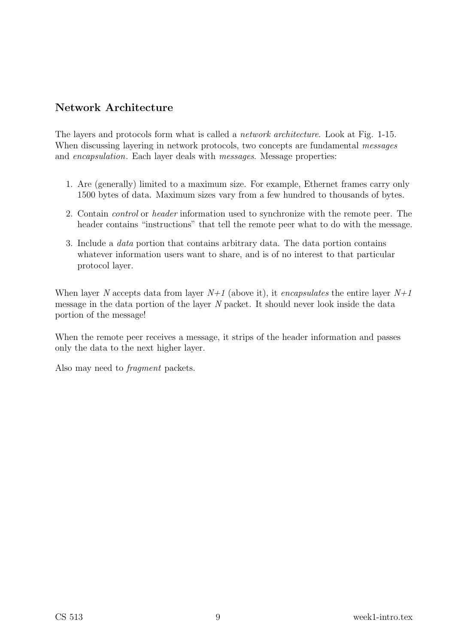### Network Architecture

The layers and protocols form what is called a network architecture. Look at Fig. 1-15. When discussing layering in network protocols, two concepts are fundamental *messages* and *encapsulation*. Each layer deals with *messages*. Message properties:

- 1. Are (generally) limited to a maximum size. For example, Ethernet frames carry only 1500 bytes of data. Maximum sizes vary from a few hundred to thousands of bytes.
- 2. Contain control or header information used to synchronize with the remote peer. The header contains "instructions" that tell the remote peer what to do with the message.
- 3. Include a data portion that contains arbitrary data. The data portion contains whatever information users want to share, and is of no interest to that particular protocol layer.

When layer N accepts data from layer  $N+1$  (above it), it *encapsulates* the entire layer  $N+1$ message in the data portion of the layer N packet. It should never look inside the data portion of the message!

When the remote peer receives a message, it strips of the header information and passes only the data to the next higher layer.

Also may need to fragment packets.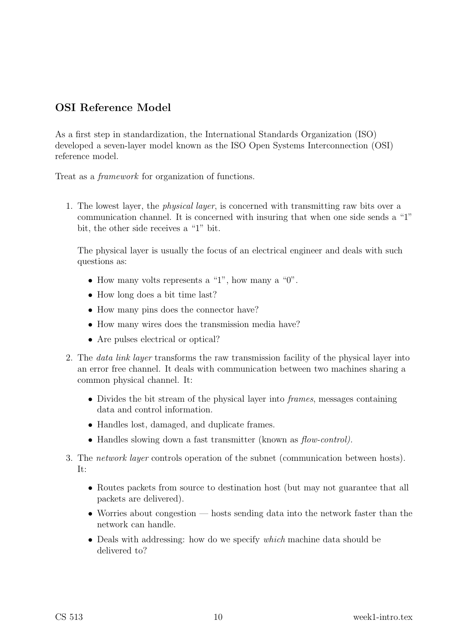### OSI Reference Model

As a first step in standardization, the International Standards Organization (ISO) developed a seven-layer model known as the ISO Open Systems Interconnection (OSI) reference model.

Treat as a framework for organization of functions.

1. The lowest layer, the physical layer, is concerned with transmitting raw bits over a communication channel. It is concerned with insuring that when one side sends a "1" bit, the other side receives a "1" bit.

The physical layer is usually the focus of an electrical engineer and deals with such questions as:

- How many volts represents a "1", how many a "0".
- How long does a bit time last?
- How many pins does the connector have?
- How many wires does the transmission media have?
- Are pulses electrical or optical?
- 2. The data link layer transforms the raw transmission facility of the physical layer into an error free channel. It deals with communication between two machines sharing a common physical channel. It:
	- Divides the bit stream of the physical layer into *frames*, messages containing data and control information.
	- Handles lost, damaged, and duplicate frames.
	- Handles slowing down a fast transmitter (known as  $flow\text{-}control$ ).
- 3. The network layer controls operation of the subnet (communication between hosts). It:
	- Routes packets from source to destination host (but may not guarantee that all packets are delivered).
	- Worries about congestion hosts sending data into the network faster than the network can handle.
	- Deals with addressing: how do we specify *which* machine data should be delivered to?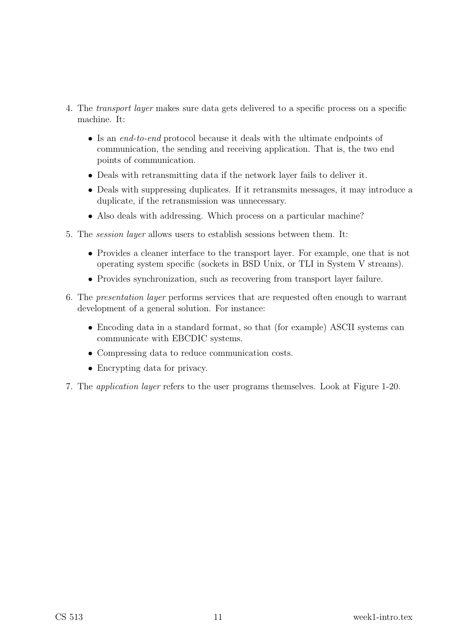- 4. The transport layer makes sure data gets delivered to a specific process on a specific machine. It:
	- Is an end-to-end protocol because it deals with the ultimate endpoints of communication, the sending and receiving application. That is, the two end points of communication.
	- Deals with retransmitting data if the network layer fails to deliver it.
	- Deals with suppressing duplicates. If it retransmits messages, it may introduce a duplicate, if the retransmission was unnecessary.
	- Also deals with addressing. Which process on a particular machine?
- 5. The session layer allows users to establish sessions between them. It:
	- Provides a cleaner interface to the transport layer. For example, one that is not operating system specific (sockets in BSD Unix, or TLI in System V streams).
	- Provides synchronization, such as recovering from transport layer failure.
- 6. The presentation layer performs services that are requested often enough to warrant development of a general solution. For instance:
	- Encoding data in a standard format, so that (for example) ASCII systems can communicate with EBCDIC systems.
	- Compressing data to reduce communication costs.
	- Encrypting data for privacy.
- 7. The application layer refers to the user programs themselves. Look at Figure 1-20.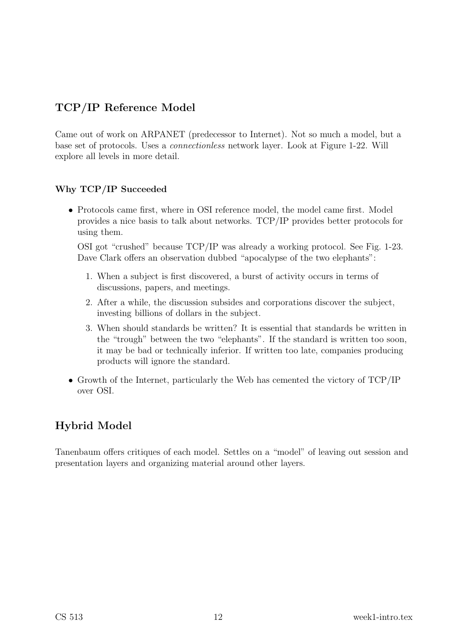## TCP/IP Reference Model

Came out of work on ARPANET (predecessor to Internet). Not so much a model, but a base set of protocols. Uses a connectionless network layer. Look at Figure 1-22. Will explore all levels in more detail.

#### Why TCP/IP Succeeded

• Protocols came first, where in OSI reference model, the model came first. Model provides a nice basis to talk about networks. TCP/IP provides better protocols for using them.

OSI got "crushed" because TCP/IP was already a working protocol. See Fig. 1-23. Dave Clark offers an observation dubbed "apocalypse of the two elephants":

- 1. When a subject is first discovered, a burst of activity occurs in terms of discussions, papers, and meetings.
- 2. After a while, the discussion subsides and corporations discover the subject, investing billions of dollars in the subject.
- 3. When should standards be written? It is essential that standards be written in the "trough" between the two "elephants". If the standard is written too soon, it may be bad or technically inferior. If written too late, companies producing products will ignore the standard.
- Growth of the Internet, particularly the Web has cemented the victory of TCP/IP over OSI.

### Hybrid Model

Tanenbaum offers critiques of each model. Settles on a "model" of leaving out session and presentation layers and organizing material around other layers.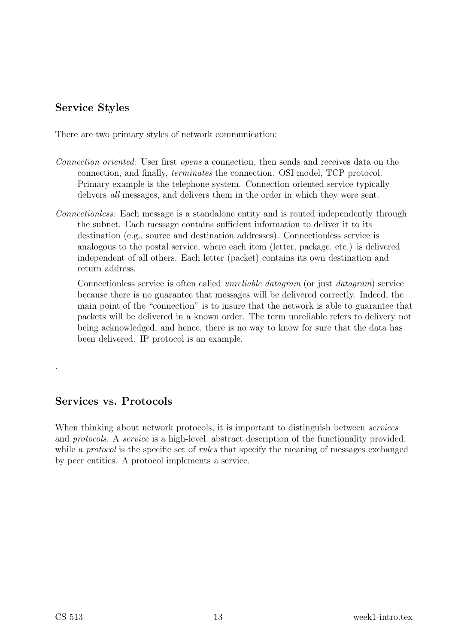### Service Styles

There are two primary styles of network communication:

- Connection oriented: User first opens a connection, then sends and receives data on the connection, and finally, terminates the connection. OSI model, TCP protocol. Primary example is the telephone system. Connection oriented service typically delivers all messages, and delivers them in the order in which they were sent.
- Connectionless: Each message is a standalone entity and is routed independently through the subnet. Each message contains sufficient information to deliver it to its destination (e.g., source and destination addresses). Connectionless service is analogous to the postal service, where each item (letter, package, etc.) is delivered independent of all others. Each letter (packet) contains its own destination and return address.

Connectionless service is often called unreliable datagram (or just datagram) service because there is no guarantee that messages will be delivered correctly. Indeed, the main point of the "connection" is to insure that the network is able to guarantee that packets will be delivered in a known order. The term unreliable refers to delivery not being acknowledged, and hence, there is no way to know for sure that the data has been delivered. IP protocol is an example.

### Services vs. Protocols

When thinking about network protocols, it is important to distinguish between *services* and protocols. A service is a high-level, abstract description of the functionality provided, while a *protocol* is the specific set of *rules* that specify the meaning of messages exchanged by peer entities. A protocol implements a service.

.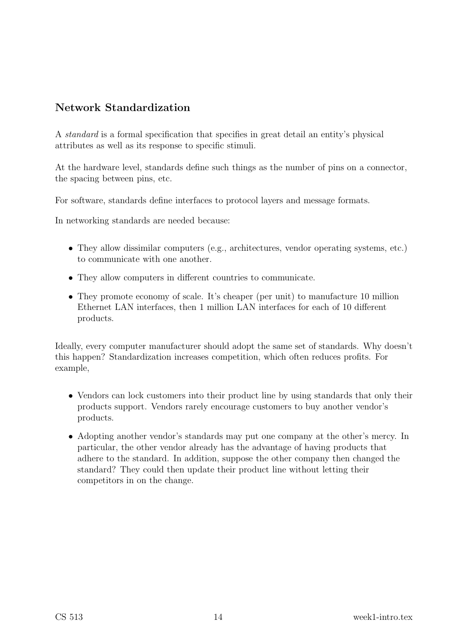### Network Standardization

A standard is a formal specification that specifies in great detail an entity's physical attributes as well as its response to specific stimuli.

At the hardware level, standards define such things as the number of pins on a connector, the spacing between pins, etc.

For software, standards define interfaces to protocol layers and message formats.

In networking standards are needed because:

- They allow dissimilar computers (e.g., architectures, vendor operating systems, etc.) to communicate with one another.
- They allow computers in different countries to communicate.
- They promote economy of scale. It's cheaper (per unit) to manufacture 10 million Ethernet LAN interfaces, then 1 million LAN interfaces for each of 10 different products.

Ideally, every computer manufacturer should adopt the same set of standards. Why doesn't this happen? Standardization increases competition, which often reduces profits. For example,

- Vendors can lock customers into their product line by using standards that only their products support. Vendors rarely encourage customers to buy another vendor's products.
- Adopting another vendor's standards may put one company at the other's mercy. In particular, the other vendor already has the advantage of having products that adhere to the standard. In addition, suppose the other company then changed the standard? They could then update their product line without letting their competitors in on the change.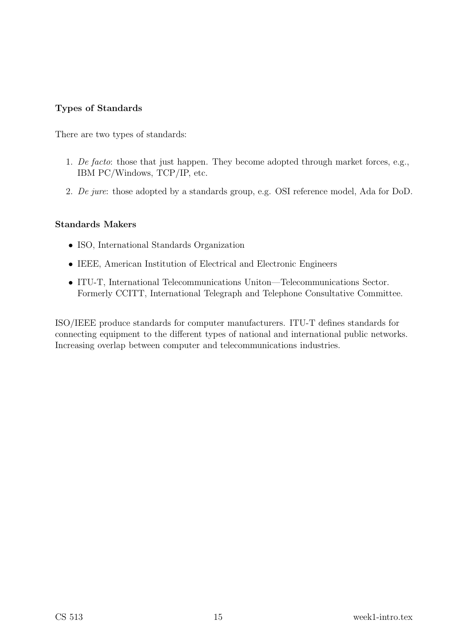#### Types of Standards

There are two types of standards:

- 1. De facto: those that just happen. They become adopted through market forces, e.g., IBM PC/Windows, TCP/IP, etc.
- 2. De jure: those adopted by a standards group, e.g. OSI reference model, Ada for DoD.

#### Standards Makers

- ISO, International Standards Organization
- IEEE, American Institution of Electrical and Electronic Engineers
- ITU-T, International Telecommunications Uniton—Telecommunications Sector. Formerly CCITT, International Telegraph and Telephone Consultative Committee.

ISO/IEEE produce standards for computer manufacturers. ITU-T defines standards for connecting equipment to the different types of national and international public networks. Increasing overlap between computer and telecommunications industries.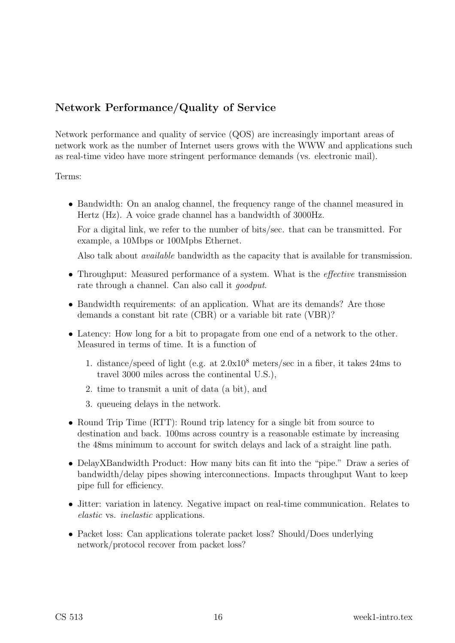### Network Performance/Quality of Service

Network performance and quality of service (QOS) are increasingly important areas of network work as the number of Internet users grows with the WWW and applications such as real-time video have more stringent performance demands (vs. electronic mail).

Terms:

• Bandwidth: On an analog channel, the frequency range of the channel measured in Hertz (Hz). A voice grade channel has a bandwidth of 3000Hz.

For a digital link, we refer to the number of bits/sec. that can be transmitted. For example, a 10Mbps or 100Mpbs Ethernet.

Also talk about available bandwidth as the capacity that is available for transmission.

- Throughput: Measured performance of a system. What is the *effective* transmission rate through a channel. Can also call it *goodput*.
- Bandwidth requirements: of an application. What are its demands? Are those demands a constant bit rate (CBR) or a variable bit rate (VBR)?
- Latency: How long for a bit to propagate from one end of a network to the other. Measured in terms of time. It is a function of
	- 1. distance/speed of light (e.g. at 2.0x10<sup>8</sup> meters/sec in a fiber, it takes 24ms to travel 3000 miles across the continental U.S.),
	- 2. time to transmit a unit of data (a bit), and
	- 3. queueing delays in the network.
- Round Trip Time (RTT): Round trip latency for a single bit from source to destination and back. 100ms across country is a reasonable estimate by increasing the 48ms minimum to account for switch delays and lack of a straight line path.
- DelayXBandwidth Product: How many bits can fit into the "pipe." Draw a series of bandwidth/delay pipes showing interconnections. Impacts throughput Want to keep pipe full for efficiency.
- Jitter: variation in latency. Negative impact on real-time communication. Relates to elastic vs. inelastic applications.
- Packet loss: Can applications tolerate packet loss? Should/Does underlying network/protocol recover from packet loss?